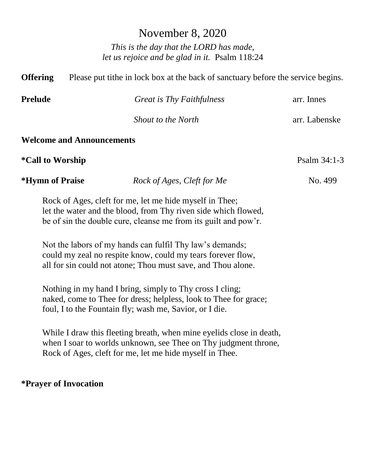# November 8, 2020

*This is the day that the LORD has made, let us rejoice and be glad in it.* Psalm 118:24

| <b>Offering</b>                | Please put tithe in lock box at the back of sanctuary before the service begins.                                                                                                        |                                                                                                                                                                                              |               |  |  |  |  |
|--------------------------------|-----------------------------------------------------------------------------------------------------------------------------------------------------------------------------------------|----------------------------------------------------------------------------------------------------------------------------------------------------------------------------------------------|---------------|--|--|--|--|
| <b>Prelude</b>                 |                                                                                                                                                                                         | Great is Thy Faithfulness                                                                                                                                                                    | arr. Innes    |  |  |  |  |
|                                |                                                                                                                                                                                         | Shout to the North                                                                                                                                                                           | arr. Labenske |  |  |  |  |
|                                | <b>Welcome and Announcements</b>                                                                                                                                                        |                                                                                                                                                                                              |               |  |  |  |  |
| <i><b>*Call to Worship</b></i> |                                                                                                                                                                                         |                                                                                                                                                                                              | Psalm 34:1-3  |  |  |  |  |
| <i><b>*Hymn of Praise</b></i>  |                                                                                                                                                                                         | Rock of Ages, Cleft for Me                                                                                                                                                                   | No. 499       |  |  |  |  |
|                                |                                                                                                                                                                                         | Rock of Ages, cleft for me, let me hide myself in Thee;<br>let the water and the blood, from Thy riven side which flowed,<br>be of sin the double cure, cleanse me from its guilt and pow'r. |               |  |  |  |  |
|                                | Not the labors of my hands can fulfil Thy law's demands;<br>could my zeal no respite know, could my tears forever flow,<br>all for sin could not atone; Thou must save, and Thou alone. |                                                                                                                                                                                              |               |  |  |  |  |
|                                | Nothing in my hand I bring, simply to Thy cross I cling;<br>naked, come to Thee for dress; helpless, look to Thee for grace;<br>foul, I to the Fountain fly; wash me, Savior, or I die. |                                                                                                                                                                                              |               |  |  |  |  |
|                                |                                                                                                                                                                                         | While I draw this fleeting breath, when mine eyelids close in death,<br>when I soar to worlds unknown, see Thee on Thy judgment throne,                                                      |               |  |  |  |  |

Rock of Ages, cleft for me, let me hide myself in Thee.

### **\*Prayer of Invocation**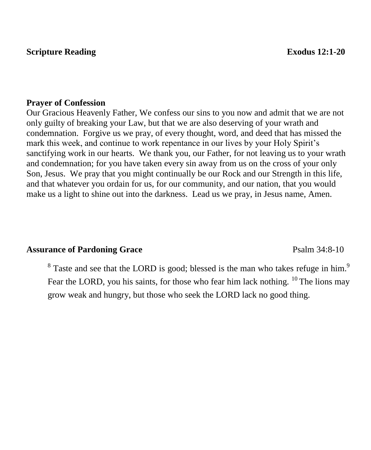#### **Scripture Reading Exodus 12:1-20**

#### **Prayer of Confession**

Our Gracious Heavenly Father, We confess our sins to you now and admit that we are not only guilty of breaking your Law, but that we are also deserving of your wrath and condemnation. Forgive us we pray, of every thought, word, and deed that has missed the mark this week, and continue to work repentance in our lives by your Holy Spirit's sanctifying work in our hearts. We thank you, our Father, for not leaving us to your wrath and condemnation; for you have taken every sin away from us on the cross of your only Son, Jesus. We pray that you might continually be our Rock and our Strength in this life, and that whatever you ordain for us, for our community, and our nation, that you would make us a light to shine out into the darkness. Lead us we pray, in Jesus name, Amen.

#### **Assurance of Pardoning Grace** Psalm 34:8-10

 $8$  Taste and see that the LORD is good; blessed is the man who takes refuge in him.<sup>9</sup> Fear the LORD, you his saints, for those who fear him lack nothing.  $^{10}$  The lions may grow weak and hungry, but those who seek the LORD lack no good thing.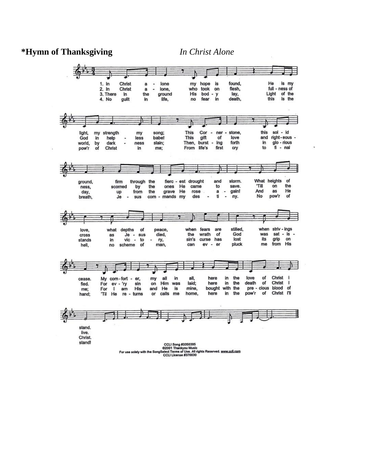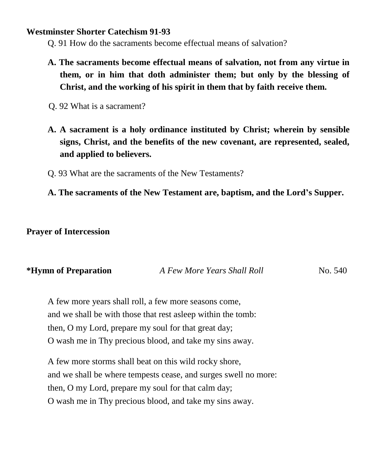#### **Westminster Shorter Catechism 91-93**

- Q. 91 How do the sacraments become effectual means of salvation?
- **A. The sacraments become effectual means of salvation, not from any virtue in them, or in him that doth administer them; but only by the blessing of Christ, and the working of his spirit in them that by faith receive them.**
- Q. 92 What is a sacrament?
- **A. A sacrament is a holy ordinance instituted by Christ; wherein by sensible signs, Christ, and the benefits of the new covenant, are represented, sealed, and applied to believers.**
- Q. 93 What are the sacraments of the New Testaments?
- **A. The sacraments of the New Testament are, baptism, and the Lord's Supper.**

#### **Prayer of Intercession**

| *Hymn of Preparation | A Few More Years Shall Roll | No. 540 |
|----------------------|-----------------------------|---------|
|                      |                             |         |

A few more years shall roll, a few more seasons come, and we shall be with those that rest asleep within the tomb: then, O my Lord, prepare my soul for that great day; O wash me in Thy precious blood, and take my sins away.

A few more storms shall beat on this wild rocky shore, and we shall be where tempests cease, and surges swell no more: then, O my Lord, prepare my soul for that calm day; O wash me in Thy precious blood, and take my sins away.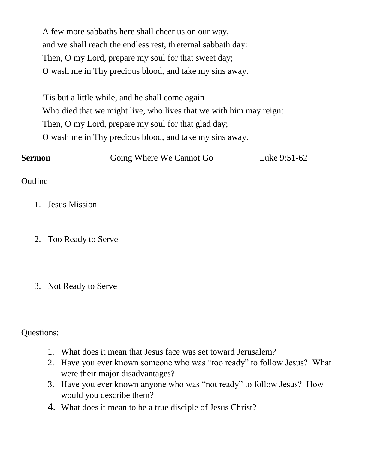A few more sabbaths here shall cheer us on our way, and we shall reach the endless rest, th'eternal sabbath day: Then, O my Lord, prepare my soul for that sweet day; O wash me in Thy precious blood, and take my sins away.

'Tis but a little while, and he shall come again Who died that we might live, who lives that we with him may reign: Then, O my Lord, prepare my soul for that glad day; O wash me in Thy precious blood, and take my sins away.

**Sermon Going Where We Cannot Go** Luke 9:51-62

#### Outline

- 1. Jesus Mission
- 2. Too Ready to Serve
- 3. Not Ready to Serve

Questions:

- 1. What does it mean that Jesus face was set toward Jerusalem?
- 2. Have you ever known someone who was "too ready" to follow Jesus? What were their major disadvantages?
- 3. Have you ever known anyone who was "not ready" to follow Jesus? How would you describe them?
- 4. What does it mean to be a true disciple of Jesus Christ?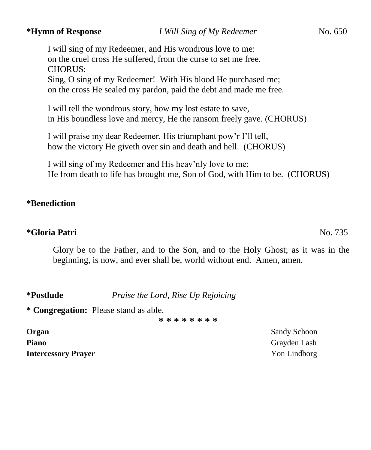I will sing of my Redeemer, and His wondrous love to me: on the cruel cross He suffered, from the curse to set me free. CHORUS: Sing, O sing of my Redeemer! With His blood He purchased me; on the cross He sealed my pardon, paid the debt and made me free.

I will tell the wondrous story, how my lost estate to save, in His boundless love and mercy, He the ransom freely gave. (CHORUS)

I will praise my dear Redeemer, His triumphant pow'r I'll tell, how the victory He giveth over sin and death and hell. (CHORUS)

I will sing of my Redeemer and His heav'nly love to me; He from death to life has brought me, Son of God, with Him to be. (CHORUS)

#### **\*Benediction**

#### **\*Gloria Patri** No. 735

Glory be to the Father, and to the Son, and to the Holy Ghost; as it was in the beginning, is now, and ever shall be, world without end. Amen, amen.

**\*Postlude** *Praise the Lord, Rise Up Rejoicing*

**\* Congregation:** Please stand as able.

**\* \* \* \* \* \* \* \***

**Organ** Sandy Schoon Sandy Schoon **Piano** Grayden Lash **Intercessory Prayer** Yon Lindborg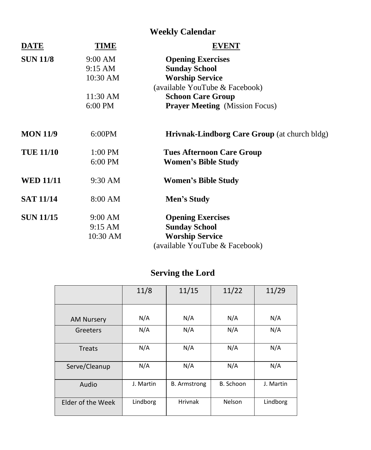# **Weekly Calendar**

| <b>DATE</b>      | TIME      | <b>EVENT</b>                                        |
|------------------|-----------|-----------------------------------------------------|
| <b>SUN 11/8</b>  | 9:00 AM   | <b>Opening Exercises</b>                            |
|                  | 9:15 AM   | <b>Sunday School</b>                                |
|                  | 10:30 AM  | <b>Worship Service</b>                              |
|                  |           | (available YouTube & Facebook)                      |
|                  | 11:30 AM  | <b>Schoon Care Group</b>                            |
|                  | 6:00 PM   | <b>Prayer Meeting</b> (Mission Focus)               |
| <b>MON 11/9</b>  | 6:00PM    | <b>Hrivnak-Lindborg Care Group</b> (at church bldg) |
| <b>TUE 11/10</b> | $1:00$ PM | <b>Tues Afternoon Care Group</b>                    |
|                  | $6:00$ PM | <b>Women's Bible Study</b>                          |
| <b>WED 11/11</b> | $9:30$ AM | <b>Women's Bible Study</b>                          |
| <b>SAT 11/14</b> | 8:00 AM   | Men's Study                                         |
| <b>SUN 11/15</b> | 9:00 AM   | <b>Opening Exercises</b>                            |
|                  | 9:15 AM   | <b>Sunday School</b>                                |
|                  | 10:30 AM  | <b>Worship Service</b>                              |
|                  |           | (available YouTube & Facebook)                      |

# **Serving the Lord**

|                   | 11/8      | 11/15               | 11/22     | 11/29     |
|-------------------|-----------|---------------------|-----------|-----------|
| <b>AM Nursery</b> | N/A       | N/A                 | N/A       | N/A       |
| Greeters          | N/A       | N/A                 | N/A       | N/A       |
| <b>Treats</b>     | N/A       | N/A                 | N/A       | N/A       |
| Serve/Cleanup     | N/A       | N/A                 | N/A       | N/A       |
| Audio             | J. Martin | <b>B.</b> Armstrong | B. Schoon | J. Martin |
| Elder of the Week | Lindborg  | Hrivnak             | Nelson    | Lindborg  |